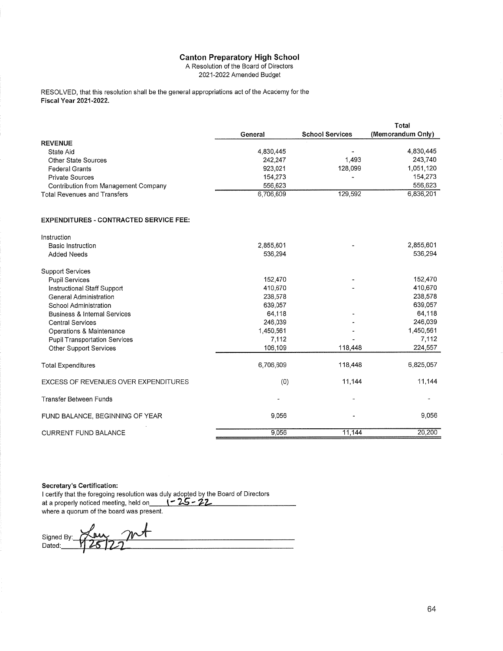A Resolution of the Board of Directors

2021-2022 Amended Budget

RESOLVED, that this resolution shall be the general appropriations act of the Academy for the Fiscal Year 2021-2022.

|                                               |           |                        | Total             |
|-----------------------------------------------|-----------|------------------------|-------------------|
|                                               | General   | <b>School Services</b> | (Memorandum Only) |
| <b>REVENUE</b>                                |           |                        |                   |
| State Aid                                     | 4,830,445 |                        | 4,830,445         |
| <b>Other State Sources</b>                    | 242,247   | 1,493                  | 243,740           |
| <b>Federal Grants</b>                         | 923,021   | 128,099                | 1,051,120         |
| <b>Private Sources</b>                        | 154,273   |                        | 154,273           |
| Contribution from Management Company          | 556,623   |                        | 556,623           |
| <b>Total Revenues and Transfers</b>           | 6,706,609 | 129,592                | 6,836,201         |
| <b>EXPENDITURES - CONTRACTED SERVICE FEE:</b> |           |                        |                   |
| Instruction                                   |           |                        |                   |
| <b>Basic Instruction</b>                      | 2,855,601 |                        | 2,855,601         |
| <b>Added Needs</b>                            | 536,294   |                        | 536,294           |
| <b>Support Services</b>                       |           |                        |                   |
| <b>Pupil Services</b>                         | 152,470   |                        | 152,470           |
| Instructional Otall Company                   | 140.570   |                        | 110.670           |

| Instruction                             |                      |         |           |
|-----------------------------------------|----------------------|---------|-----------|
| <b>Basic Instruction</b>                | 2,855,601            |         | 2,855,601 |
| <b>Added Needs</b>                      | 536,294              |         | 536,294   |
| <b>Support Services</b>                 |                      |         |           |
| <b>Pupil Services</b>                   | 152,470              |         | 152,470   |
| Instructional Staff Support             | 410,670              |         | 410,670   |
| General Administration                  | 238,578              |         | 238,578   |
| School Administration                   | 639,057              |         | 639,057   |
| <b>Business &amp; Internal Services</b> | 64,118               |         | 64,118    |
| <b>Central Services</b>                 | 246,039              |         | 246,039   |
| Operations & Maintenance                | 1,450,561            |         | 1,450,561 |
| <b>Pupil Transportation Services</b>    | 7,112                |         | 7,112     |
| <b>Other Support Services</b>           | 106,109              | 118,448 | 224,557   |
| Total Expenditures                      | 6,706,609            | 118,448 | 6,825,057 |
| EXCESS OF REVENUES OVER EXPENDITURES    | (0)                  | 11,144  | 11,144    |
| <b>Transfer Between Funds</b>           | $\ddot{\phantom{0}}$ |         |           |
| FUND BALANCE, BEGINNING OF YEAR         | 9,056                |         | 9,056     |
| <b>CURRENT FUND BALANCE</b>             | 9,056                | 11,144  | 20,200    |

**Secretary's Certification:** 

I certify that the foregoing resolution was duly adopted by the Board of Directors<br>at a properly noticed meeting, held on  $\sqrt{25-22}$ where a quorum of the board was present.

Signed By: Dated: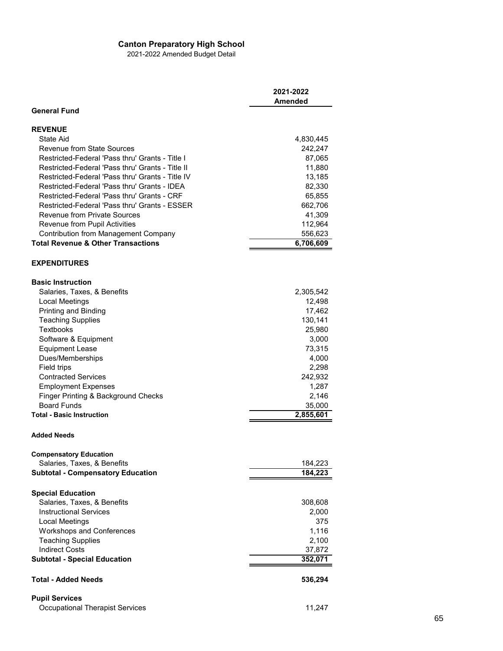2021-2022 Amended Budget Detail

|                                                                   | 2021-2022<br><b>Amended</b> |
|-------------------------------------------------------------------|-----------------------------|
| <b>General Fund</b>                                               |                             |
| <b>REVENUE</b>                                                    |                             |
| State Aid                                                         | 4,830,445                   |
| Revenue from State Sources                                        | 242,247                     |
| Restricted-Federal 'Pass thru' Grants - Title I                   | 87,065                      |
| Restricted-Federal 'Pass thru' Grants - Title II                  | 11,880                      |
| Restricted-Federal 'Pass thru' Grants - Title IV                  | 13,185                      |
| Restricted-Federal 'Pass thru' Grants - IDEA                      | 82,330                      |
| Restricted-Federal 'Pass thru' Grants - CRF                       | 65,855                      |
| Restricted-Federal 'Pass thru' Grants - ESSER                     | 662,706                     |
| <b>Revenue from Private Sources</b>                               | 41,309                      |
| Revenue from Pupil Activities                                     | 112,964                     |
| <b>Contribution from Management Company</b>                       | 556,623                     |
| <b>Total Revenue &amp; Other Transactions</b>                     | 6,706,609                   |
| <b>EXPENDITURES</b>                                               |                             |
| <b>Basic Instruction</b>                                          |                             |
| Salaries, Taxes, & Benefits                                       | 2,305,542                   |
| Local Meetings                                                    | 12,498                      |
| Printing and Binding                                              | 17,462                      |
| <b>Teaching Supplies</b>                                          | 130,141                     |
| <b>Textbooks</b>                                                  | 25,980                      |
| Software & Equipment                                              | 3,000                       |
| <b>Equipment Lease</b>                                            | 73,315                      |
| Dues/Memberships                                                  | 4,000                       |
| Field trips<br><b>Contracted Services</b>                         | 2,298                       |
|                                                                   | 242,932<br>1,287            |
| <b>Employment Expenses</b><br>Finger Printing & Background Checks | 2,146                       |
| <b>Board Funds</b>                                                | 35,000                      |
| <b>Total - Basic Instruction</b>                                  | 2,855,601                   |
|                                                                   |                             |
| <b>Added Needs</b>                                                |                             |
| <b>Compensatory Education</b>                                     |                             |
| Salaries, Taxes, & Benefits                                       | 184,223                     |
| <b>Subtotal - Compensatory Education</b>                          | 184,223                     |
| <b>Special Education</b>                                          |                             |
| Salaries, Taxes, & Benefits                                       | 308,608                     |
| <b>Instructional Services</b>                                     | 2,000                       |
| Local Meetings                                                    | 375                         |
| <b>Workshops and Conferences</b>                                  | 1,116                       |
| <b>Teaching Supplies</b>                                          | 2,100                       |
| <b>Indirect Costs</b><br><b>Subtotal - Special Education</b>      | 37,872<br>352,071           |
|                                                                   |                             |
| <b>Total - Added Needs</b>                                        | 536,294                     |
| <b>Pupil Services</b>                                             |                             |
| <b>Occupational Therapist Services</b>                            | 11,247                      |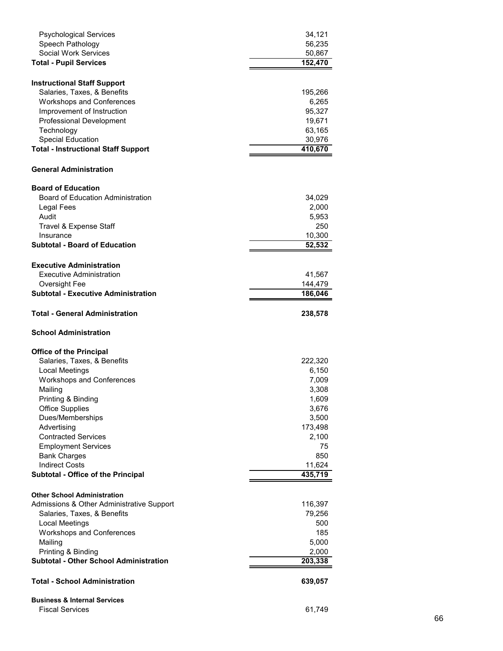| <b>Psychological Services</b>                               | 34,121             |
|-------------------------------------------------------------|--------------------|
| Speech Pathology                                            | 56,235             |
| Social Work Services                                        | 50,867             |
| <b>Total - Pupil Services</b>                               | 152,470            |
|                                                             |                    |
| <b>Instructional Staff Support</b>                          |                    |
| Salaries, Taxes, & Benefits                                 | 195,266            |
| <b>Workshops and Conferences</b>                            | 6,265              |
| Improvement of Instruction                                  | 95,327             |
| <b>Professional Development</b>                             | 19,671             |
| Technology                                                  | 63,165             |
| <b>Special Education</b>                                    | 30,976             |
| <b>Total - Instructional Staff Support</b>                  | 410,670            |
| <b>General Administration</b>                               |                    |
|                                                             |                    |
| <b>Board of Education</b>                                   |                    |
| <b>Board of Education Administration</b>                    | 34,029             |
| Legal Fees                                                  | 2,000              |
| Audit                                                       | 5,953              |
| Travel & Expense Staff                                      | 250                |
| Insurance                                                   | 10,300             |
| <b>Subtotal - Board of Education</b>                        | 52,532             |
| <b>Executive Administration</b>                             |                    |
|                                                             |                    |
| <b>Executive Administration</b>                             | 41,567             |
| Oversight Fee<br><b>Subtotal - Executive Administration</b> | 144,479<br>186,046 |
|                                                             |                    |
| <b>Total - General Administration</b>                       | 238,578            |
| <b>School Administration</b>                                |                    |
| <b>Office of the Principal</b>                              |                    |
| Salaries, Taxes, & Benefits                                 | 222,320            |
| Local Meetings                                              | 6,150              |
| <b>Workshops and Conferences</b>                            | 7,009              |
| Mailing                                                     | 3,308              |
| Printing & Binding                                          | 1,609              |
| <b>Office Supplies</b>                                      | 3,676              |
| Dues/Memberships                                            | 3,500              |
|                                                             |                    |
| Advertising                                                 | 173,498            |
| <b>Contracted Services</b>                                  | 2,100              |
| <b>Employment Services</b>                                  | 75                 |
| <b>Bank Charges</b>                                         | 850                |
| <b>Indirect Costs</b>                                       | 11,624             |
| Subtotal - Office of the Principal                          | 435,719            |
| <b>Other School Administration</b>                          |                    |
| Admissions & Other Administrative Support                   |                    |
|                                                             |                    |
|                                                             | 116,397            |
| Salaries, Taxes, & Benefits                                 | 79,256             |
| Local Meetings                                              | 500                |
| <b>Workshops and Conferences</b>                            | 185                |
| Mailing                                                     | 5,000              |
| Printing & Binding                                          | 2,000              |
| <b>Subtotal - Other School Administration</b>               | 203,338            |
| <b>Total - School Administration</b>                        | 639,057            |
| <b>Business &amp; Internal Services</b>                     |                    |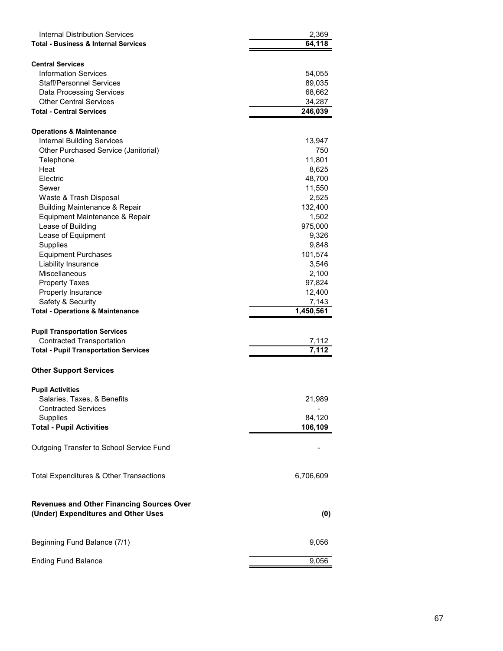| Internal Distribution Services<br><b>Total - Business &amp; Internal Services</b>       | 2,369<br>64,118   |
|-----------------------------------------------------------------------------------------|-------------------|
|                                                                                         |                   |
| <b>Central Services</b><br><b>Information Services</b>                                  |                   |
| Staff/Personnel Services                                                                | 54,055            |
| <b>Data Processing Services</b>                                                         | 89,035            |
| <b>Other Central Services</b>                                                           | 68,662            |
| <b>Total - Central Services</b>                                                         | 34,287<br>246,039 |
|                                                                                         |                   |
| <b>Operations &amp; Maintenance</b>                                                     |                   |
| <b>Internal Building Services</b>                                                       | 13,947            |
| Other Purchased Service (Janitorial)                                                    | 750               |
| Telephone                                                                               | 11,801            |
| Heat                                                                                    | 8,625             |
| Electric                                                                                | 48,700            |
| Sewer                                                                                   | 11,550            |
| Waste & Trash Disposal                                                                  | 2,525             |
| <b>Building Maintenance &amp; Repair</b>                                                | 132,400           |
| Equipment Maintenance & Repair                                                          | 1,502             |
| Lease of Building                                                                       | 975,000           |
| Lease of Equipment                                                                      | 9,326             |
| Supplies                                                                                | 9,848             |
| <b>Equipment Purchases</b>                                                              | 101,574           |
| Liability Insurance                                                                     | 3,546             |
| Miscellaneous                                                                           | 2,100             |
| <b>Property Taxes</b>                                                                   | 97,824            |
| Property Insurance                                                                      | 12,400            |
| Safety & Security                                                                       | 7,143             |
| <b>Total - Operations &amp; Maintenance</b>                                             | 1,450,561         |
| <b>Pupil Transportation Services</b>                                                    |                   |
| <b>Contracted Transportation</b>                                                        | 7,112             |
| <b>Total - Pupil Transportation Services</b>                                            | 7,112             |
|                                                                                         |                   |
| <b>Other Support Services</b>                                                           |                   |
| <b>Pupil Activities</b>                                                                 |                   |
| Salaries, Taxes, & Benefits                                                             | 21,989            |
| <b>Contracted Services</b>                                                              |                   |
| Supplies                                                                                | 84,120            |
| <b>Total - Pupil Activities</b>                                                         | 106,109           |
| Outgoing Transfer to School Service Fund                                                |                   |
| Total Expenditures & Other Transactions                                                 | 6,706,609         |
|                                                                                         |                   |
| <b>Revenues and Other Financing Sources Over</b><br>(Under) Expenditures and Other Uses | (0)               |
| Beginning Fund Balance (7/1)                                                            | 9,056             |
| <b>Ending Fund Balance</b>                                                              | 9,056             |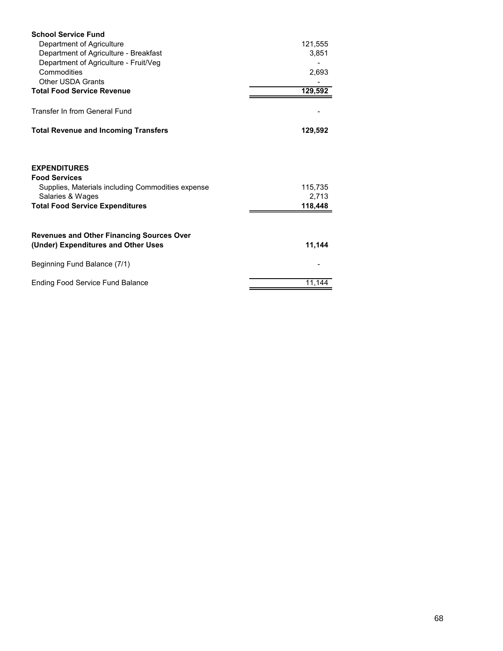| <b>School Service Fund</b>                                                                                                                                     |                             |
|----------------------------------------------------------------------------------------------------------------------------------------------------------------|-----------------------------|
| Department of Agriculture                                                                                                                                      | 121,555                     |
| Department of Agriculture - Breakfast                                                                                                                          | 3,851                       |
| Department of Agriculture - Fruit/Veg                                                                                                                          |                             |
| Commodities                                                                                                                                                    | 2,693                       |
| <b>Other USDA Grants</b>                                                                                                                                       |                             |
| <b>Total Food Service Revenue</b>                                                                                                                              | 129,592                     |
| Transfer In from General Fund                                                                                                                                  |                             |
| <b>Total Revenue and Incoming Transfers</b>                                                                                                                    | 129,592                     |
| <b>EXPENDITURES</b><br><b>Food Services</b><br>Supplies, Materials including Commodities expense<br>Salaries & Wages<br><b>Total Food Service Expenditures</b> | 115,735<br>2,713<br>118,448 |
| <b>Revenues and Other Financing Sources Over</b><br>(Under) Expenditures and Other Uses                                                                        | 11,144                      |
| Beginning Fund Balance (7/1)                                                                                                                                   |                             |
| <b>Ending Food Service Fund Balance</b>                                                                                                                        | 11.144                      |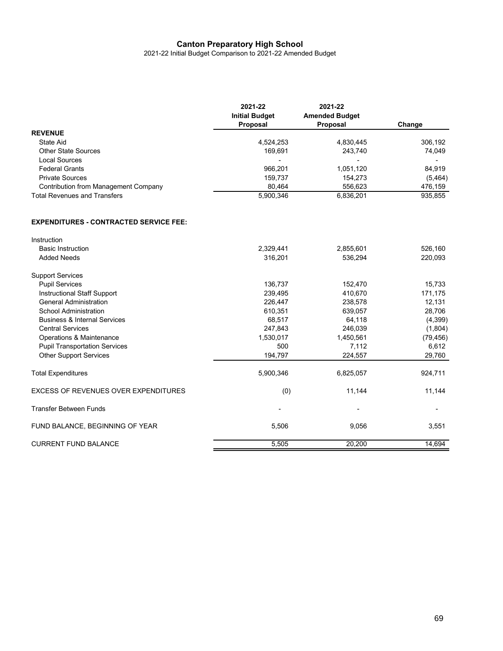2021-22 Initial Budget Comparison to 2021-22 Amended Budget

|                                               | 2021-22<br><b>Initial Budget</b> | 2021-22<br><b>Amended Budget</b> |           |
|-----------------------------------------------|----------------------------------|----------------------------------|-----------|
| <b>REVENUE</b>                                | Proposal                         | Proposal                         | Change    |
| <b>State Aid</b>                              | 4,524,253                        | 4,830,445                        | 306,192   |
| <b>Other State Sources</b>                    | 169,691                          | 243,740                          | 74,049    |
| <b>Local Sources</b>                          | $\overline{a}$                   | Ĭ.                               | -         |
| <b>Federal Grants</b>                         | 966,201                          | 1,051,120                        | 84,919    |
| <b>Private Sources</b>                        | 159,737                          | 154,273                          | (5, 464)  |
| <b>Contribution from Management Company</b>   | 80,464                           | 556,623                          | 476,159   |
| <b>Total Revenues and Transfers</b>           | 5,900,346                        | 6,836,201                        | 935,855   |
| <b>EXPENDITURES - CONTRACTED SERVICE FEE:</b> |                                  |                                  |           |
| Instruction                                   |                                  |                                  |           |
| <b>Basic Instruction</b>                      | 2,329,441                        | 2,855,601                        | 526,160   |
| <b>Added Needs</b>                            | 316,201                          | 536,294                          | 220,093   |
| <b>Support Services</b>                       |                                  |                                  |           |
| <b>Pupil Services</b>                         | 136,737                          | 152,470                          | 15,733    |
| Instructional Staff Support                   | 239,495                          | 410,670                          | 171,175   |
| <b>General Administration</b>                 | 226,447                          | 238,578                          | 12,131    |
| School Administration                         | 610,351                          | 639,057                          | 28,706    |
| <b>Business &amp; Internal Services</b>       | 68,517                           | 64,118                           | (4,399)   |
| <b>Central Services</b>                       | 247,843                          | 246,039                          | (1,804)   |
| Operations & Maintenance                      | 1,530,017                        | 1,450,561                        | (79, 456) |
| <b>Pupil Transportation Services</b>          | 500                              | 7,112                            | 6,612     |
| <b>Other Support Services</b>                 | 194,797                          | 224,557                          | 29,760    |
| <b>Total Expenditures</b>                     | 5,900,346                        | 6,825,057                        | 924,711   |
| <b>EXCESS OF REVENUES OVER EXPENDITURES</b>   | (0)                              | 11,144                           | 11,144    |
| <b>Transfer Between Funds</b>                 |                                  |                                  |           |
| FUND BALANCE, BEGINNING OF YEAR               | 5,506                            | 9,056                            | 3,551     |
| <b>CURRENT FUND BALANCE</b>                   | 5,505                            | 20,200                           | 14,694    |